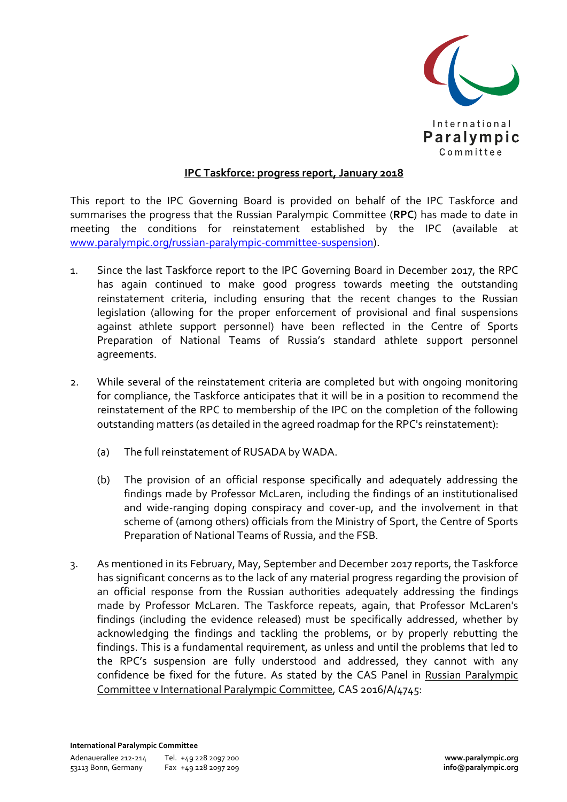

## **IPC Taskforce: progress report, January 2018**

This report to the IPC Governing Board is provided on behalf of the IPC Taskforce and summarises the progress that the Russian Paralympic Committee (**RPC**) has made to date in meeting the conditions for reinstatement established by the IPC (available at www.paralympic.org/russian-paralympic-committee-suspension).

- 1. Since the last Taskforce report to the IPC Governing Board in December 2017, the RPC has again continued to make good progress towards meeting the outstanding reinstatement criteria, including ensuring that the recent changes to the Russian legislation (allowing for the proper enforcement of provisional and final suspensions against athlete support personnel) have been reflected in the Centre of Sports Preparation of National Teams of Russia's standard athlete support personnel agreements.
- 2. While several of the reinstatement criteria are completed but with ongoing monitoring for compliance, the Taskforce anticipates that it will be in a position to recommend the reinstatement of the RPC to membership of the IPC on the completion of the following outstanding matters (as detailed in the agreed roadmap for the RPC's reinstatement):
	- (a) The full reinstatement of RUSADA by WADA.
	- (b) The provision of an official response specifically and adequately addressing the findings made by Professor McLaren, including the findings of an institutionalised and wide-ranging doping conspiracy and cover-up, and the involvement in that scheme of (among others) officials from the Ministry of Sport, the Centre of Sports Preparation of National Teams of Russia, and the FSB.
- 3. As mentioned in its February, May, September and December 2017 reports, the Taskforce has significant concerns as to the lack of any material progress regarding the provision of an official response from the Russian authorities adequately addressing the findings made by Professor McLaren. The Taskforce repeats, again, that Professor McLaren's findings (including the evidence released) must be specifically addressed, whether by acknowledging the findings and tackling the problems, or by properly rebutting the findings. This is a fundamental requirement, as unless and until the problems that led to the RPC's suspension are fully understood and addressed, they cannot with any confidence be fixed for the future. As stated by the CAS Panel in Russian Paralympic Committee v International Paralympic Committee, CAS 2016/A/4745: